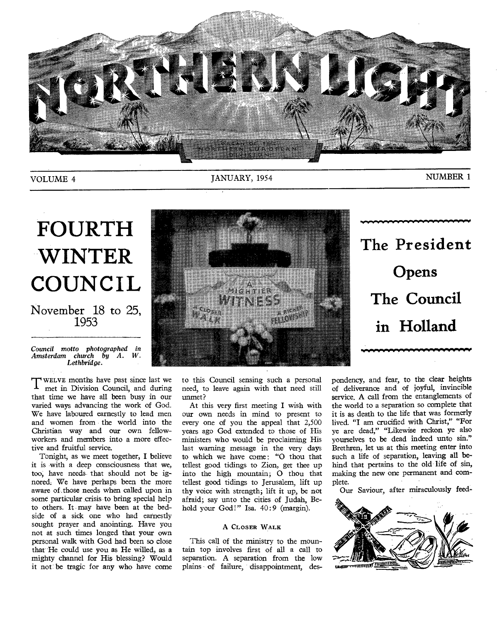

VOLUME 4 JANUARY, 1954 MUMBER 1

•

# **FOURTH WINTER COUNCIL**

### November 18 to 25, 1953

*Council motto photographed in Amsterdam church by A. W. Lethbridge.* 

T WELVE months have past since last we<br>met in Division Council, and during met in Division Council, and during that time we have all been busy in our varied ways advancing the work of God. We have laboured earnestly to lead men and women from the world into the Christian way and our own fellowworkers and members into a more effective and fruitful service.

Tonight, as we meet together, I believe it is with a deep consciousness that we, too, have needs that should not be ignored. We have perhaps been the more aware of those needs when called upon in some particular crisis to bring special help to others. It may have been at the bedside of a sick one who had earnestly sought prayer and anointing. Have you not at such times longed that your own personal walk with God had been so close that He could use you as He willed, as a mighty channel for His blessing? Would it not: be tragic for any who have come



to this Council sensing such a personal need, to leave again with that need still unmet?

At this very first meeting I wish with our own needs in mind to present to every one of you the appeal that 2,500 years ago God extended to those of His ministers who would be proclaiming His last warning message in the very days to which we have come: "0 thou that tellest good tidings to Zion, get thee up into the high mountain; 0 thou that tellest good tidings to Jerusalem, lift up thy voice with strength; lift it up, be not afraid; say unto the cities of Judah, Behold your God!" Isa. 40:9 (margin).

### A CLOSER WALK

This call of the ministry to the mountain top involves first of all a call to separation. A separation from the low plains of failure, disappointment, despondency, and fear, to the clear heights of deliverance and of joyful, invincible service. A call from the entanglements of the world to a separation so complete that it is as death to the life that was formerly lived. "I am crucified with Christ," "For ye are dead," "Likewise reckon ye also yourselves to be dead indeed unto sin." Brethren, let us at this meeting enter into such a life of separation, leaving all behind that pertains to the old life of sin, making the new one permanent and complete.

Our Saviour, after miraculously feed-



**The President Opens The Council in Holland**  www.www.

 $\ddot{\phantom{1}}$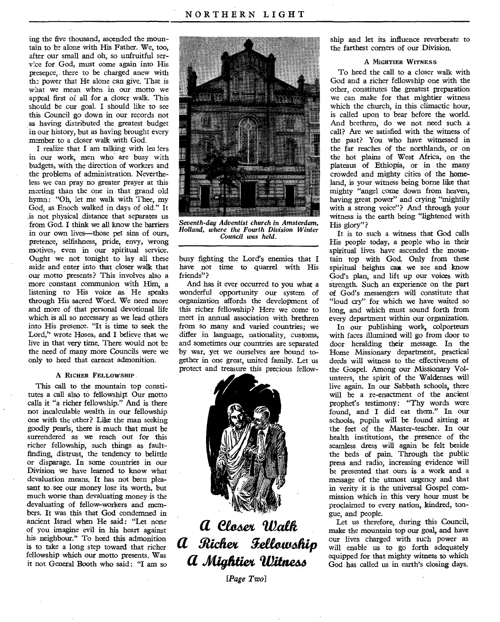ing the five thousand, ascended the mountain to be alone with His Father. We, too, after our small and oh, so unfruitful service for God, must come again into His presence, there to be charged anew with the power that He alone can give. That is what we mean when in our motto we appeal first of all for a closer walk. This should be our goal. I should like to see this Council go down in our records not as having distributed the greatest budget in our history, but as having brought every member to a closer walk with. God.

I realize that I am talking with lea iers in our work, men who are busy with budgets, with the direction of workers and the problems of administration. Nevertheless we can pray no greater prayer at this meeting than the one in that grand old hymn: "Oh, let me walk with Thee, my God, as Enoch walked in days of old." It is not physical distance that separates us from God. I think we all know the barriers in our own lives—those pet sins of ours, pretence, selfishness, pride, envy, wrong motives, even in our spiritual service. Ought we not tonight to lay all these aside and enter into that closer walk that our motto presents? This involves also a more constant communion with Him, a listening to His voice as He speaks through His sacred Word. We need more and more of that personal devotional life which is all so necessary as we lead others into His presence. "It is time to seek the Lord," wrote Hosea, and I believe that we live in that very time. There would not be the need of many more Councils were we only to heed that earnest admonition.

### A RICHER FELLOWSHIP.

This call to the mountain top constitutes a call also to fellowship: Our motto calls it "a richer fellowship." And is there not incalculable wealth in our fellowship one with the other? Like the man seeking goodly pearls, there is much that must be surrendered as we reach out for this richer fellowship, such things as faultfinding, distrust, the tendency to belittle or disparage. In some countries in our Division we have learned to know what devaluation means. It has not been pleasant to see our money lose its worth, but much worse than devaluating money is the devaluating of fellow-workers and members. It was this that God condemned in ancient Israel when He said: "Let none of you imagine evil in his heart against his neighbour?' To heed this admonition is to take a long step toward that richer fellowship which our motto presents. Was it not- General Booth who said : "I am so



*Seventh-day Adventist church in Amsterdam, Holland, where the Fourth Division Winter Council was held.* 

busy fighting the Lord's enemies that I have not time to quarrel with His friends"?

And has it ever occurred to you what a wonderful opportunity our system of organization affords the development of this richer fellowship? Here we come to meet in annual association with brethren from so many and varied countries; we differ in language, nationality, customs, and sometimes our countries are separated by war, yet we ourselves are bound together in one great, united family. Let us protect and treasure this precious fellow-



## **a** *eiedez*  **a** *Nichex geteaufethip*  **a** Mightier Witness

*[Page Two]* 

ship and let its influence reverberate to the farthest corners of our Division.

### A MIGHTIER WITNESS

To heed the call to a closer walk with God and a richer fellowship one with the other, constitutes the greatest preparation we can make for that mightier witness which the church, in this climactic hour, is called upon to bear before the world. And brethren, do we not need such a call? Are we satisfied with the witness of the past? You who have witnessed in the far reaches of the northlands, or on the hot plains of West Africa, on the plateaus of Ethiopia, or in the many crowded and mighty cities of the homeland, is your witness being borne like that mighty "angel come down from heaven, having great power" and crying "mightily with a strong voice"? And through your witness is the earth being "lightened with His glory"?

It is to such a witness that God calls His people today, a people who in their spiritual lives have ascended the mountain top with God. Only from these spiritual heights can we see and know God's plan, and lift up our voices with strength. Such an experience on the part of God's messengers will constitute that "loud cry" for which we have waited so long, and which must sound forth from every department within our organization.

In our publishing work, oolporteurs with faces illumined will go from door to door heralding their message. In the Home Missionary department, practical deeds will witness to the effectiveness of the Gospel. Among our Missionary Volunteers, the spirit of the Waldenses will live again. In our Sabbath schools, there will be a re-enactment of the ancient prophet's testimony: "Thy words were found, and I did eat them." In our schools, pupils will be found sitting at the feet of the Master-teacher. In our health institutions, the presence of the seamless dress will again be felt beside the beds of pain. Through the public press and radio, increasing evidence will be presented that ours is a work and a message of the utmost urgency and that in verity it is the universal Gospel commission which in this very hour must be proclaimed to every nation, kindred, tongue, and people.

Let us therefore, during this Council, make the mountain top our goal, and have our lives charged with such power as will enable us to go forth adequately equipped for that mighty witness to which God has called us in earth's closing days.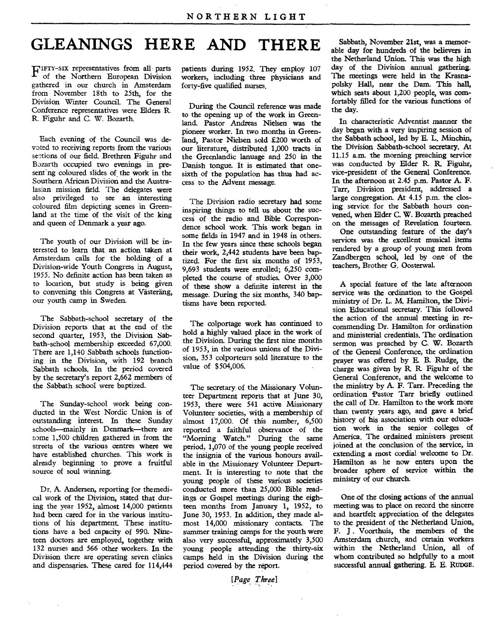## **GLEANINGS HERE AND THERE**

F IFTY-six representatives from all parts of the Northern European Division gathered in our church in Amsterdam from November 18th to 25th, for the Division Winter Council. The General Conference representatives were Elders R. R. Figuhr and C. W. Bozarth.

Each evening of the Council was devoted to receiving reports from the various sections of our field. Brethren Figuhr and Bozarth occupied two evenings in present ng coloured slides of the work in the Southern African Division and the Australasian mission field. The delegates were also privileged to see an interesting ooloured film depicting scenes in Greenland at the time of the visit of the king and queen of Denmark a year ago.

The youth of our Division will be interested to learn that an action taken at Amsterdam calls for the holding of a Division-wide Youth Congress in August, 1955. No definite action has been taken as to location, but study is being given to convening this Congress at Vasterang, our youth camp in Sweden.

The Sabbath-school secretary of the Division reports that at the end of the second quarter, 1953, the Division Sabbath-school membership exceeded 67,000. There are 1,140 Sabbath schools functioning in the Division, with 192 branch Sabbath schools. In the period covered by the secretary's report 2,662 members of the Sabbath school were baptized.

The Sunday-school work being conducted in the West Nordic Union is of outstanding interest. In these Sunday schools—mainly in Denmark—there are some 1,500 children gathered in from the streets of the various centres where we have established churches. This work is already beginning to prove a fruitful source of soul winning.

Dr. A. Andersen, reporting for themedical work of the Division, stated that during the year 1952, almost 14,000 patients had been cared for in the various institutions of his department. These institutions have a bed capacity of 990. Nineteen doctors are employed, together with 132 nurses and 566 other workers. In the Division there are operating seven clinics and dispensaries. These cared for 114,444

patients during 1952. They employ 107 workers, including three physicians and forty-five qualified nurses.

During the Council reference was made to the opening up of the work in Greenland. Pastor Andreas Nielsen was the pioneer worker. In two months in Greenland, Pastor Nielsen sold £200 worth of our literature, distributed 1,000 tracts in the Greenlandic lanuage and 250 in the Danish tongue. It is estimated that onesixth of the population has thus had access to the Advent message.

The Division radio secretary had some inspiring things to tell us about the success of the radio and. Bible Correspondence school work. This work began in some fields in 1947 and in 1948 in others. In the few years since these schools began their work, 2,442 students have been baptized. For the first six months of 1953, 9,693 students were enrolled; 6,250 completed the course of studies. Over 3,000 of these show a definite interest in the message. During the six months, 340 baptisms have been reported.

The colportage work has continued to hold a highly valued place in the work of the Division. During the first nine months of 1953, in the various unions of the Division, 353 colporteurs sold literature to the value of \$504,006.

The secretary of the Missionary Volunteer Department reports that at June 30, 1953, there were 541 active Missionary Volunteer societies, with a membership of almost 17,000. Of this number, 6,500 reported a faithful observance of the "Morning Watch." During the same period, 1,070 of the young people received the insignia of the various honours available in the Missionary Volunteer Department. It is interesting to note that the young people of these various societies conducted more than 25,000 Bible readings or Gospel meetings during the eighteen months from January 1, 1952, to June 30, 1953. In addition, they made almost 14,000 missionary contacts. The summer training camps for the youth were also very successful, approximately 3,500 young people attending the thirty-six camps held in the Division during the period covered by the report.

*[Page Three]* 

Sabbath, November 21st, was a memorable day for hundreds of the believers in the Netherland Union. This was the high day of the Division annual gathering. The meetings were held in the Krasnapolsky Hall, near the Dam. This hall, which seats about 1,200 people, was comfortably filled for the various functions of the day.

In characteristic Adventist manner the day began with a very inspiring session of the Sabbath school, led by E. L. Minchin, the Division Sabbath-school secretary. At 11.15 a.m. the morning preaching service was conducted by Eider R. R. Figuhr, vice-president of the General Conference. In the afternoon at 2.45 p.m. Pastor A. F. Tarr, Division president, addressed a large congregation. At 4.15 p.m. the dosing service, for the Sabbath hours convened, when Elder C. W. Bozarth preached on the messages of Revelation fourteen.

One outstanding feature of the day's services was the excellent musical items rendered by a group of young men from Zandbergen school, led by one of the teachers, Brother G. Oosterwal.

A special feature of the late afternoon service was the ordination to the Gospel ministry of Dr. L. M. Hamilton, the Division Educational secretary. This followed the action of the annual meeting in recommending Dr. Hamilton for ordination and ministerial credentials. The ordination sermon was preached by C. W. Bozarth of the General Conference, the ordination prayer was offered by E. B. Rudge, the charge was given by R R. Figuhr of the General Conference, and the welcome to the ministry by A. F. Tarr. Preceding the ordination Pastor Tarr briefly outlined the call of Dr. Hamilton to the work more than twenty years ago, and gave a brief history of his association with our education work in the senior colleges of America. The ordained ministers present joined at the conclusion of the service, in extending a most cordial welcome to Dr. Hamilton as he now enters upon the broader sphere of service within the ministry of our church.

One of the closing actions of the annual meeting was to place on record the sincere and heartfelt appreciation of the delegates to the president of the Netherland Union, F. J. Voorthuis, the members of the Amsterdam church, and certain workers within the Netherland Union, all of whom contributed so helpfully to a most successful annual gathering. E. E. RUDGE.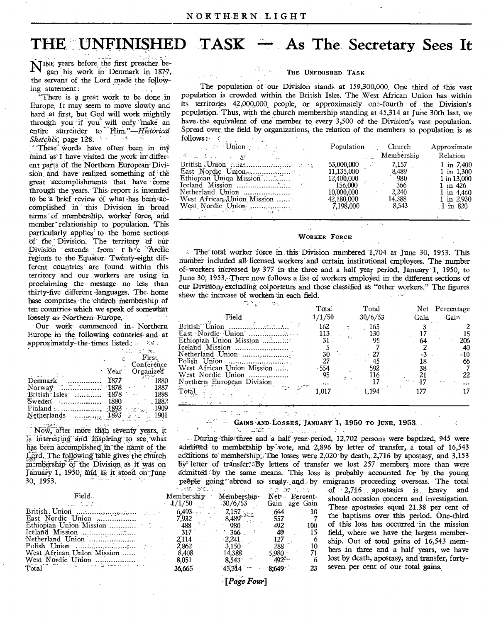## **THE UNFINISHED TASK – As The Secretary Sees It**

NINE years before the first preacher began his work in Denmark in 187-7, the servant of the Lord made the following statement:

"There is a great work to be done in Europe. It may seem to move slowly and hard at first, but God will work mightily through you if you will only make an entire surrender to *Him.*"-*Hist*<br>Sketches; page 128. Sketches, page 128.<br>These words have often been in my

 $m$ ind as I have visited the work in different parts of the Northern European Division and have realized something of 'the great accomplishments that have come through the years. This report is intended to be a brief review of what has been accomplished in this Division in broad terms of membership, worker force, and member relationship to population. This particularly applies to the home sections Or the Division; The territory of our Division extends from t h<sup>-l</sup>e Arctic regions to the Equator. Twenty-eight different countries are found within this territory and our workers are using in proclaiming the • message- no less than thirty-five different languages. The home base comprises the chtirch membership of ten countries-which we speak of somewhat loosely as Northern-Europe.

Our work- commenced in- Northern Europe in the following countries- and- at approximately-the-times listed:

|                   | First,            |
|-------------------|-------------------|
|                   | Conference        |
|                   | Organized<br>Year |
| Denmark           | 1877              |
| Norway            | 1878⊤<br>1887     |
| British Isles     | 1898<br>- 1878    |
|                   | . 1882            |
|                   | -1909             |
| Netherlands  1893 | 1901              |
|                   |                   |

Now, after more than seventy years, it is interesting and inspiring to see what has been accomplished-in-the name of-the Lord. The following table gives the church mimbership of the Division as it was on January 1, 1950, and as it stood on June 30, 1953.

|                            |                                             |                     | and the season of the season of |  |
|----------------------------|---------------------------------------------|---------------------|---------------------------------|--|
| Field:                     | Membership Membership<br>$1/1/50$ $30/6/53$ |                     | Net Perce<br>Gain age G         |  |
|                            |                                             |                     | .664                            |  |
|                            |                                             | 8,489               | 557                             |  |
|                            |                                             | $\cdot$ 980 $\cdot$ | 492                             |  |
|                            | 317                                         | $\cdot$ 366         | 49                              |  |
|                            | 2.114                                       | $-2.241$            | 127                             |  |
|                            | 2.862                                       | 3.150               | 288                             |  |
| West African Union Mission | 8.408                                       | 14.388              |                                 |  |
|                            | 8.051                                       | 8,543               | $5,980 -$<br>492 <sup>3</sup>   |  |
| Total                      | 36.665                                      | 45314               | 8,649                           |  |
|                            |                                             |                     |                                 |  |

*<sup>-&</sup>quot;Page Fool* 

### **THE UNFINISHED TASK**

The population of 'our DiVision stands at 159,300,000. One third of this vast population is crowded within the British Isles. The West African Union has within its territories 42,092,000, people, or approximately one-fourth of the Division's population. Thus, with the church membership standing at 45,314 at June 30th last, we have, the equivalent of one member to every  $3,500$  of the Division's vast population. Spread over, the field. by organizations, the relation of the members to population is as  $f_0$ llows:

| $10110W5$ :                                                                                                      |                |            |                |
|------------------------------------------------------------------------------------------------------------------|----------------|------------|----------------|
| $\mathbb{E}_{\mathcal{A}}$ of $\mathcal{B}$ $\mathbf{Uniform}_{\mathcal{A}}$ and $\mathcal{A}$ are $\mathcal{A}$ | Population     | Church     | Approximate    |
| ل¢و ال الماليات الصريحية الأسراء ال <sup>م</sup> ا                                                               |                | Membership | Relation       |
| British Union will make the contract of the state                                                                | $53,000,000$ . | 7.157      | $1$ in 7.400   |
|                                                                                                                  | 11,135,000     | 8,489      | $1$ in $1,300$ |
|                                                                                                                  | 12,400,000     | -980       | 1 in 13,000    |
|                                                                                                                  | 156,000        | 366        | 1 in 426       |
| Netherland Union <b></b>                                                                                         | 10,000,000     | 2.240      | 1 in $4.460$   |
| West African Union Mission                                                                                       | 42,180,000     | 14,388     | $1$ in $2.930$ |
| West Nordic Union                                                                                                | 7,198,000      | 8.543      | $1$ in 820     |
|                                                                                                                  |                |            |                |

#### **WORKER FORCE**

 $\therefore$  The total worker force in this Division numbered 1,704 at June 30, 1953. This number included all-licensed workers and certain institutional employees. The number Of- workers increased by 377 in the three and a half year period, January' 1, 1950, to June. 30; 1953: There now follows a list of workers employed in the different sections of our DiViSion,lexcluding colporteurs and those classified as "other workers." The figures show the increase of workers in each field.

| 162<br>165<br>130<br>113<br>Ethiopian Union Mission<br>95<br>31.<br>64                                                                                                    | Net Percentage               |
|---------------------------------------------------------------------------------------------------------------------------------------------------------------------------|------------------------------|
| 30<br>45<br>West African Union Mission<br>592<br>554<br>38<br>West Nordic Union<br>95<br>21<br>116<br>Northern European Division<br>$\cdots$<br>Total<br>$1.017\,$<br>177 | 206<br>40<br>-10<br>66<br>22 |

rt au  $\mathcal{O}(\mathcal{O}(\log n))$ ductions in the

**GAINS AND LOSSES, JANUARY 1, 1950 TO JUNE, 1953.** 

-- During -Thigithree *arid a* half year period, 12,702 persons were baptized, 945 were admitted to membership by vote, and  $2,896$  by letter of transfer, a total of  $16,543$ additions to membership. The losses were  $2,020$  by death,  $2,716$  by apostasy, and  $3,153$ by letter of transfer: By letters of transfer we lost 257 members more than were admitted by the same means. This loss is probably accounted for by the young people going abroad to study and by emigrants proceeding overseas. The total

of 2,716 apostasies is heavy and<br>should occasion concern and investigation. mt-<br>
ain should occasion concern and investigation.<br>
10 These apostasies equal 21.38 per cent of 7,1-57 and 7,1-57 and 7,1-57 and 7,1-57 and 7,1-57 and 7,1-57 and 7,1-57 and 7,1-57 and 7,1-57 and 7,1-57 and 7,1-57 and 7,1- $\frac{19}{2}$  the baptisms over this period. One-third<br>00 of this loss has occurred in the mission  $90<sub>0</sub>$  of this loss has occurred in the mission is field, where we have the largest memberfield, where we have the largest member- $\begin{array}{c} 0 \\ 10 \\ 11 \end{array}$  ship. Out of total gains of 16,543 mem-<br>  $\begin{array}{c} 71 \\ 10 \end{array}$  bers in three and a half years, we have 14,388 5,980 10 11,388 5,980 711,388 5,980 711,388  $\frac{1}{6}$  lost by death, apostasy, and transfer, forty-<br>23 seven per cent of our total gains. seven per cent of our total gains.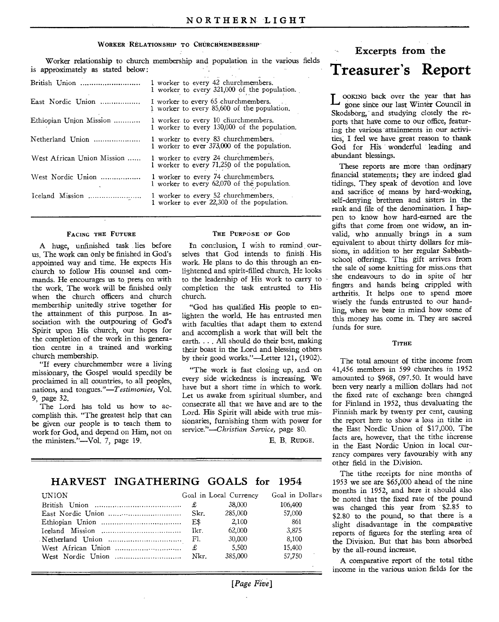### WORKER RELATIONSHIP TO CHURCHMEMBERSHIP

Worker relationship to church membership and population in the various fields is approximately as stated below:

| British Union              | 1 worker to every 42 churchmembers.<br>1 worker to every 321,000 of the population. |
|----------------------------|-------------------------------------------------------------------------------------|
| East Nordic Union          | I worker to every 65 churchmembers.<br>1 worker to every 85,600 of the population.  |
| Ethiopian Union Mission    | 1 worker to every 10 churchmembers.<br>1 worker to every 130,000 of the population. |
| Netherland Union           | 1 worker to every 83 churchmembers.<br>1 worker to ever 373,000 of the population.  |
| West African Union Mission | 1 worker to every 24 churchmembers.<br>1 worker to every 71,250 of the population.  |
| West Nordic Union          | 1 worker to every 74 churchmembers.<br>1 worker to every 62,070 of the population.  |
| Iceland Mission            | 1 worker to every 52 churchmembers.<br>1 worker to ever 22,300 of the population.   |
|                            |                                                                                     |

#### FACING THE FUTURE

A huge, unfinished task lies before us. The work can only be finished in God's appointed way and time. He expects His church to follow His counsel and commands. He encourages us to press on with the work. The work will be finished only when the church officers and church membership unitedly strive together for the attainment of this purpose. In association with the outpouring of God's Spirit upon His church, our hopes for the completion of the work in this generation centre in a trained and working church membership.

"If every churchmember were a living missionary, the Gospel would speedily be proclaimed in all countries, to all peoples, nations, and tongues."—T*estimonies,* Vol. 9, page 32.

The Lord has told us how to accomplish this. "The greatest help that can be given our people is to teach them to work for God, and depend on Him, not on the ministers."—Vol. 7, page 19.

#### THE PURPOSE OF GOD

In conclusion, I wish to remind ourselves that God intends to finish His work. He plans to do this through an enlightened and spirit-filled church. He looks to the leadership of His work to carry to completion the task entrusted to His church.

"God has qualified His people to enlighten the world. He has entrusted men with faculties that adapt them to extend and accomplish a work that will belt the earth. . . . All should do their best, making their boast in the Lord and blessing others by their good works."—Letter 121, (1902).

"The work is fast closing up, and on every side wickedness is increasing. We have but a short time in which to work. Let us awake from spiritual slumber, and oonsecrate all that we have and are to the Lord. His Spirit will abide with true missionaries, furnishing them with power for *service."—Christian Service,* page 80.

E. B. RUDGE.

### **HARVEST INGATHERING GOALS for 1954**

| <b>UNION</b> |           | Goal in Local Currency | Goal in Dollars |
|--------------|-----------|------------------------|-----------------|
|              | £         | 38,000                 | 106.400         |
|              | Skr.      | 285,000                | 57,000          |
|              | E\$       | 2.100                  | 861             |
|              | Ikr.      | 62,000                 | 3.875           |
|              |           | 30.000                 | 8.100           |
|              | $\pounds$ | 5.500                  | 15.400          |
|              | Nkr.      | 385,000                | 57.750          |

### *[Page Five]*

## **Excerpts from the Treasurer's Report**

L OOKING back over the year that has gone since our last Winter Council in gone since our last Winter Council in Skodsborg, and studying closely the reports that have come to our office, featuring the various attainments in our activities, I feel we have great reason to thank God for His wonderful leading and abundant blessings.

These reports are more than ordinary financial statements; they are indeed glad tidings. They speak of devotion and love and sacrifice of means by hard-working, self-denying brethren and sisters in the rank and file of the denomination. I happen to know how hard-earned are the gifts that come from one widow, an invalid, who annually brings in a sum equivalent to about thirty dollars for missions, in addition to her regular Sabbathschool offerings. This gift arrives from the sale of some knitting for missions that she endeavours to do in spite of her fingers and hands being crippled with arthritis. It helps one to spend more wisely the funds entrusted to our handling, when we bear in mind how some of this money has come in. They are sacred funds for sure.

### **TITHE**

The total amount of tithe income from 41,456 members in 599 churches in 1952 amounted to \$968, 097.50. It would have been very nearly a million dollars had not the fixed rate of exchange been changed for Finland in 1952, thus devaluating the Finnish mark by twenty per cent, causing the report here to show a loss in tithe in the East Nordic Union of \$17,000. The facts are, however, that the tithe increase in the East Nordic Union in local currency compares very favourably with any other field in the Division.

The tithe receipts for nine months of 1953 we see are \$65,000 ahead of the nine months in 1952, and here it should also be noted that the fixed rate of the pound was changed this year from \$2.85 to \$2.80 to the pound, so that there is a slight disadvantage in the comparative reports of figures for the sterling area of the Division. But that has been absorbed by the all-round increase.

A comparative report of the total tithe income in the various union fields for the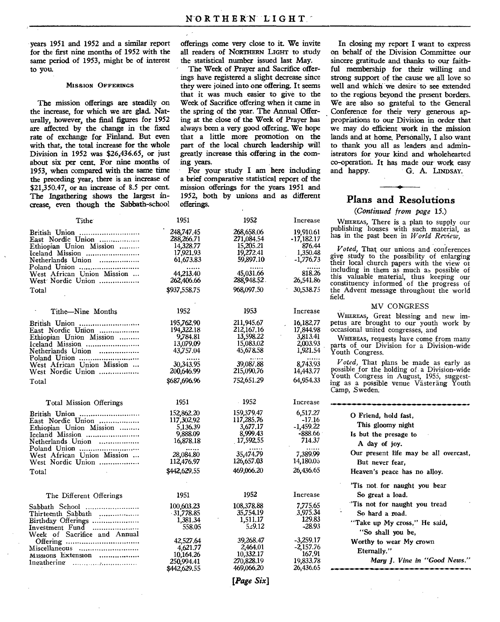same period of 1953, might be of interest to you.

the increase, for which we are glad. Nat-<br>the spring of the year. The Annual Offer-<br>urally, however, the final figures for 1952 ing at the close of the Week of Prayer has urally, however, the final figures for 1952 ing at the close of the Week of Prayer has are affected by the change in the fixed always been a very good offering. We hope are affected by the change in the fixed always been a very good offering. We hope rate of exchange for Finland. But even that a little more promotion on the rate of exchange for Finland. But even that a little more promotion on the with that, the total increase for the whole part of the local church leadership will Division in 1952 was  $$26,436.65$ , or just greatly in about six per cent. For nine months of ing vears. about six per cent. For nine months of ing years.<br>1953 when compared with the same time For your study I am here including 1953, when compared with the same time For your study I am here including the preceding year, there is an increase of a brief comparative statistical report of the the preceding year, there is an increase of a brief comparative statistical report of the \$21.350.47 or an increase of 8.5 per cent. mission offerings for the years 1951 and  $$21,350.47$ , or an increase of 8.5 per cent. The Ingathering shows the largest in-1952, both by *unions* and as different crease, even though the Sabbath-school

years 1951 and 1952 and a similar report offerings come very close to it. We invite all readers of NORTHERN LIGHT to study<br>the statistical number issued last May.

The Week of Prayer and Sacrifice offerings have registered a slight decrease since **MISSION OFFERINGS** they were joined into one offering. It seems that it was much easier to give to the The mission offerings are steadily on Week of Sacrifice offering when it came in the increase, for which we are glad. Nat-<br>the spring of the year. The Annual Offerpart of the local church leadership will<br>greatly increase this offering in the com-

In closing my report I want to express on behalf of the Division Committee our sincere gratitude and thanks to our faithful membership for their willing and strong support of the cause we all love so well and which we desire to see extended to the regions beyond the present borders. We are also so grateful to the General Conference for their very generous appropriations to our Division in order that we may do efficient work in the mission lands and at home. Personally, I also want to thank you all as leaders and administrators for your kind and wholehearted co-operation. It has made our work easy G. A. LINDSAY.

### **Plans and Resolutions**

### *(Continued from page 15.)*

**WHEREAS,** There is a plan to supply our publishing houses with such material, as has in the past been in *World Review,* 

*Voted,* That our unions and conferences give study to the possibility of enlarging their local church papers with the view of including in them as much as possible of this valuable material, thus keeping our constituency informed of the progress of the Advent message throughout the world field.

### MV CONGRESS

**WHEREAS,** Great blessing and new impetus are brought to our youth work by occasional united congresses, and

**WHEREAS,** requests have come from many parts of our Division for a Division-wide Youth Congress.

*Voted,* That plans be made as early as possible for the holding of a Division-wide Youth Congress in August, 1955, suggesting as a possible venue Västeräng Youth Camp, Sweden.

| 2            | Increase                |                                       |
|--------------|-------------------------|---------------------------------------|
| 9.47         | 6,517.27                | O Friend, hold fast,                  |
| 5.76<br>7.17 | $-17.16$<br>$-1,459.22$ | This gloomy night                     |
| 2.43         | -888.66                 | Is but the presage to                 |
| 2.55         | 714.37                  | A day of joy.                         |
| 1.79         | 7,389.99                | Our present life may be all overcast, |
| 7.03         | 14,180.05               | But never fear.                       |
| 5.20         | 26,436.65               | Heaven's peace has no alloy.          |
|              |                         | Tis not for naught you bear           |
| 2            | Increase                | So great a load.                      |
| 3.88         | 7,775.65                | "Tis not for naught you tread         |
| 4.19         | 3.975.34                | So hard a road.                       |
| 1.17<br>9.12 | 129.83<br>-28.93        | "Take up My cross," He said,          |
|              |                         | "So shall you be,                     |
| 8.47         | $-3,259.17$             | Worthy to wear My crown               |
| 4.01<br>2.17 | $-2,157.76$<br>167.91   | Eternally."                           |
| 3.19         | 19.833.78               | Mary J. Vine in "Good News."          |
| 5.20         | 26,436.65               |                                       |
|              |                         |                                       |

| Tithe                                                                                                                 | 1951                                                              | 1952                                                            | Increase                                                       |
|-----------------------------------------------------------------------------------------------------------------------|-------------------------------------------------------------------|-----------------------------------------------------------------|----------------------------------------------------------------|
| British Union<br>East Nordic Union<br>Ethiopian Union Mission<br>Iceland Mission<br>Netherlands Union                 | 248,747.45<br>288, 266. 71<br>14,328.77<br>17,921,93<br>61,673.83 | 268,658.06<br>271,084.54<br>15,205.21<br>19,272.41<br>59,897.10 | 19,910.61<br>$-17,182.17$<br>876.44<br>1,350.48<br>$-1,776.73$ |
| Poland Union<br>West African Union Mission<br>West Nordic Union                                                       | 44.213.40<br>262,406.66                                           | 45.031.66<br>288,948.52.                                        | 818.26<br>26,541.86                                            |
| Total                                                                                                                 | \$937,558.75                                                      | 968,097.50                                                      | 30,538.75                                                      |
| Tithe-Nine Months                                                                                                     | 1952                                                              | 1953                                                            | Increase                                                       |
| British Union<br>East Nordic Union<br>Ethiopian Union Mission<br>Iceland Mission<br>Netherlands Union                 | 195,762,90<br>194,322.18<br>9,784.81<br>13,079.09<br>43,757.04    | 211,945.67<br>212,167.16<br>13,598.22<br>15,083,02<br>45,678,58 | 16,182.77<br>17,844.98<br>3,813.41<br>2,003.93<br>1,921.54     |
| West African Union Mission<br>West Nordic Union                                                                       | 30,343.95<br>200.646.99                                           | 39,087.88<br>215,090.76                                         | 8,743.93<br>14,443.77                                          |
| Total                                                                                                                 | \$687,696.96                                                      | 752,651.29                                                      | 64,954.33                                                      |
| Total Mission Offerings                                                                                               | 1951                                                              | $-1952$                                                         | Increase                                                       |
| British Union<br>East Nordic Union<br>Ethiopian Union Mission<br>Iceland Mission<br>Netherlands Union<br>Poland Union | 152,862,20<br>117,302.92<br>5,136.39<br>9,888.09<br>16,878.18     | 159,379.47<br>117,285.76<br>3,677.17<br>8,999.43<br>17,592.55   | 6,517.27<br>$-17.16$<br>$-1,459.22$<br>-888.66<br>714.37       |
| West African Union Mission<br>West Nordic Union                                                                       | 28,084.80<br>112,476.97                                           | 35,474.79<br>126,657.03                                         | 7,389.99<br>14,180.05                                          |
| Total                                                                                                                 | \$442,629.55                                                      | 469,066.20                                                      | 26,436.65                                                      |
| The Different Offerings                                                                                               | 1951                                                              | 1952                                                            | Increase                                                       |
| Sabbath School<br>Thirteenth Sabbath<br>Birthday Offerings<br>Investment Fund                                         | 100,603,23<br>31,778.85<br>1,381.34<br>558.05                     | 108,378.88<br>35,754.19<br>1,511.17<br>5,29.12                  | 7,775.65<br>3.975.34<br>129.83<br>-28.93                       |
| Week of Sacrifice and Annual<br>Miscellaneous<br>Missions Extension                                                   | 42,527.64<br>4,621.77<br>10,164.26<br>250,994.41<br>\$442,629.55  | 39,268.47<br>2,464.01<br>10,332.17<br>270,828.19<br>469,066.20  | $-3,259.17$<br>$-2,157.76$<br>167.91<br>19.833.78<br>26,436.65 |

*[Page Six]*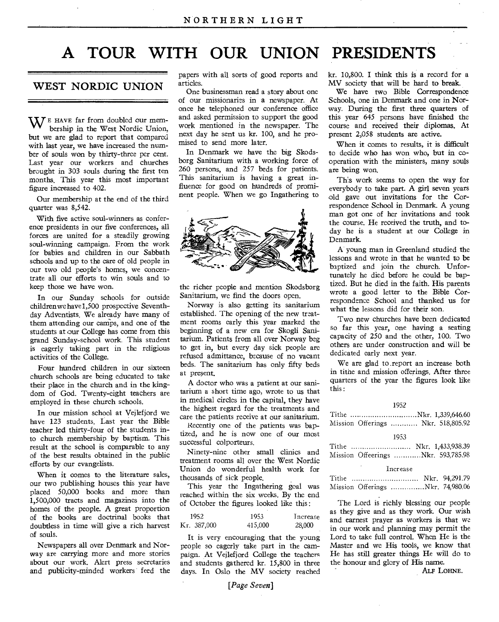## **A TOUR WITH OUR UNION PRESIDENTS**

### WEST NORDIC UNION

 $\mathbf{W}$  E HAVE far from doubled our membership in the West Nordic Union, but we are glad to report that compared with last year, we have increased the number of souls won by thirty-three per cent. Last year our workers and churches brought in 303 souls during the first ten months. This year this most important figure increased to 402.

Our membership at the end of the third quarter was 8,542.

With five active soul-winners as conference presidents in our five conferences, all forces are united for a steadily growing soul-winning campaign. From the work for babies and children in our Sabbath schools and up to the care of old people in our two old people's homes, we concentrate all our efforts to win souls and to keep those we have won.

In our Sunday schools for outside children we have 1,500 prospective Seventhday Adventists. We already have many of them attending our camps, and one of the students at our College has come from this grand Sunday-school work. This student is eagerly taking part in the religious activities of the College.

Four hundred children in our sixteen church schools are being educated to take their place in the church and in the kingdom of God. Twenty-eight teachers are employed in these church schools.

In our mission school at Vejlefjord we have 123 students. Last year the Bible teacher led thirty-four of the students into church membership by baptism. This result at the school is comparable to any of the best results obtained in the public efforts by our evangelists.

When it comes to the literature sales, our two publishing houses this year have placed 50,000 books and more than 1,500,000 tracts and magazines into the homes of the people. A great proportion of the books are doctrinal books that doubtless in time will give a rich harvest of souls.

Newspapers all over Denmark and Norway are carrying more and more stories about our work. Alert press secretaries and publicity-minded workers feed the papers with all sorts of good reports and articles.

One businessman read a story about one of our missionaries in a newspaper. At once he telephoned our conference office and asked permission to support the good work mentioned in the newspaper. The next day he sent us kr. 100, and he promised to send more later.

In Denmark we have the big Skodsborg Sanitarium with a working force of 260 persons, and 257 beds for patients. This sanitarium is having a great influence for good on hundreds of prominent people. When we go Ingathering to



the richer people and mention Skodsborg Sanitarium, we find the doors open.

Norway is also getting its sanitarium established. The opening of the new treatment rooms early this year marked the beginning of a new era for Skogli Sanitarium. Patients from all over Norway beg to get in, but every day sick people are refused admittance, because of no vacant beds. The sanitarium has only fifty beds at present.

A doctor who was a patient at our sanitarium a short time ago, wrote to us that in medical circles in the capital, they have the highest regard for the treatments and care the patients receive at our sanitarium.

Recently one of the patients was baptized, and he is now one of our most successful colporteurs.

Ninety-nine other small clinics and treatment rooms all over the West Nordic Union do wonderful health work for thousands of sick people.

This year the Ingathering goal was reached within the six weeks. By the end of October the figures looked like this :

| 1952        | 1953    | Increase |
|-------------|---------|----------|
| Kr. 387,000 | 415,000 | 28,000   |

It is very encouraging that the young people so eagerly take part in the campaign. At Vejlefjord College the teachers and students gathered kr. 15,800 in three days. In Oslo the MV society reached

### *[Page Seven]*

kr. 10,800. I think this is a record for a MV society that will be hard to break.

We have two Bible Correspondence Schools, one in Denmark and one in Norway. During the first three quarters of this year 645 persons have finished the course and received their diplomas. At present 2,058 students are active.

When it comes to results, it is difficult to decide who has won who, but in cooperation with the ministers, many souls are being won.

This work seems to open the way for everybody to take part. A girl seven years old gave out invitations for the Correspondence School in Denmark. A young man got one of her invitations and took the course. He received the truth, and today he is a student at our College in Denmark.

A young man in Greenland studied the lessons and wrote in that he wanted to be baptized and join the church. Unfortunately he died before he could be baptized. But he died in the faith. His parents wrote a good letter to the Bible Correspondence School and thanked us for what the lessons did for their son.

Two new churches have been dedicated so far this year, one having a seating capacity of 250 and the other, 100. Two others are under construction and will be dedicated early next year.

We are glad to .report an increase both in tithe and mission offerings. After three quarters of the year the figures look like this :

1952

|  |  | Tithe Nkr. 1,339,646.60            |
|--|--|------------------------------------|
|  |  | Mission Offerings  Nkr. 518,805.92 |

### 1953

|  |  | Nkr. 1,433,938.39                  |
|--|--|------------------------------------|
|  |  | Mission Offeerings Nkr. 593,785.98 |

#### Increase

| Tithe |                                  | Nkr. 94,291.79 |
|-------|----------------------------------|----------------|
|       | Mission Offerings Nkr. 74,980.06 |                |

The Lord is richly blessing our people as they give and as they work. Our wish and earnest prayer as workers is that we in our work and planning may permit the Lord to take full control. When He is the Master and we His tools, we know that He has still greater things He will do to the honour and glory of His name.

ALF LOHNE.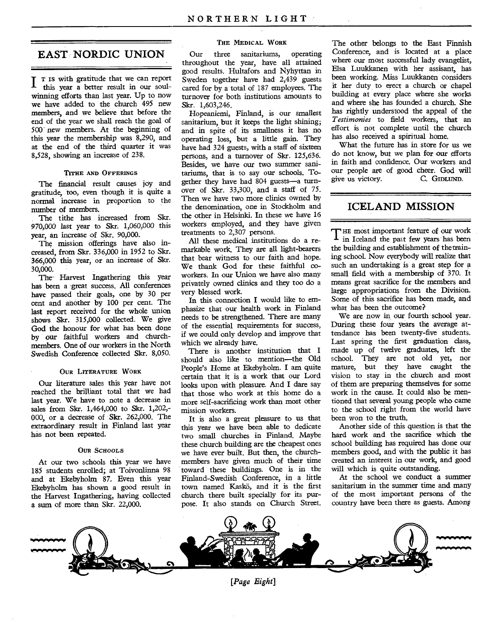### **EAST NORDIC UNION**

**T T** is with gratitude that we can report 1 this year a better result in our soulwinning efforts than last year. Up to now we have added to the church 495 new members, and we believe that before the end of the year we shall reach the goal of 500 new members. At the beginning of this year the membership was 8,290, and at the end of the third quarter it was 8,528, showing an increase of 238.

### **TITHE AND OFFERINGS**

The financial result causes joy and gratitude, too, even though it is quite a normal increase in proportion to the number of members.

The tithe has increased from Skr. 970,000 last year to Skr. 1,060,000 this year, an increase of Skr. 90,000.

The mission offerings have also increased, from Skr. 336,000 in 1952 to Skr. 366,000 this year, or an increase of Skr. 30,000.

The-Harvest Ingathering this year has been a great success. All conferences have passed their goals, one by 30 per cent and another by 100 per cent. The last report received for the whole union shows Skr. 315,000 collected. We give God the honour for what has been done by our faithful workers and churchmembers. One of our workers in the North Swedish Conference collected Skr. 8,050.

### **OUR LITERATURE WORK**

Our literature sales this year have not reached the brilliant total that we had last year. We have to note a decrease in sales from Skr. 1,464,000 to Skr. 1,202,- 000, or a decrease of Skr. 262,000. The extraordinary result in Finland last year has not been repeated.

#### *OUR* **SCHOOLS**

At our two schools this year we have 185 students enrolled; at Toivonlinna 98 and at Ekebyholm 87. Even this year Ekebyholm has shown a good result in the Harvest Ingathering, having collected a sum of more than Skr. 22,000.

### **THE MEDICAL WORK**

Our three sanitariums, operating throughout the year, have all attained good results. Hultafors and Nyhyttan in Sweden together have had 2,439 guests cared for by a total of 187 employees. The turnover for both institutions amounts to Skr. 1,603,246.

Hopeaniemi, Finland, is our smallest sanitarium, but it keeps the light shining; and in spite of its smallness it has no operating loss, but a little gain. They have had 324 guests, with a staff of sixteen persons, and a turnover of Skr. 125,636. Besides, we have our two summer sanitariums, that is to say our schools. Together they have had 804 guests—a turnover of Skr. 33,300, and a staff of 75. Then we have two more clinics owned by the denomination, one in Stockholm and the other in Helsinki. In these we have 16 workers employed, and they have given treatments to 2,307 persons.

All these medical institutions do a remarkable work. They are all light-bearers that bear witness to our faith and hope. We thank God for these faithful coworkers. In our Union we have also many privately owned clinics and they too do a very blessed work.

In this connection I would like to emphasize that our health work in Finland needs to be strengthened. There are many of the essential requirements for success, if we could only develop and improve that which we already have.

There is another institution that I should also like to mention—the Old People's Home at Ekebyholm. I am quite certain that it is a work that our Lord looks upon with pleasure. And I dare say that those who work at this home do a more self-sacrificing work than most other mission workers.

It is also a great pleasure to us that this year we have been able to dedicate two small churches in Finland. Maybe these church building are the cheapest ones we have ever built. But then, the churchmembers have given much of their time toward these buildings. One is in the Finland-Swedish Conference, in a little town named Kaskö, and it is the first church there built specially for its purpose. It also stands on Church Street.

The other belongs to the East Finnish Conference, and is located at a place where our most successful lady evangelist. Elsa Luukkanen with her assisant has been working. Miss Luukkanen considers it her duty to erect a church or chapel building at every place where she works and where she has founded a church. She has rightly understood the appeal of the *Testimonies* to field workers, that an effort is not complete until the church has also received a spiritual home.

What the future has in store for us we do not know, but we plan for our efforts in faith and confidence. Our workers and our people are of good cheer. God will<br>vive us victory. C. GIDLIND give us victory.

### **ICELAND MISSION**

THE most important feature of our work<br>In Iceland the past few years has been in Iceland the past few years has been the building and establishment of the training school. Now everybody will realize that such an undertaking is a great step for a small field with a membership of 370. It means great sacrifice for the members and large appropriations from the Division. Some of this sacrifice has been made, and what has been the outcome?

We are now in our fourth school year. During these four years the average attendance has been twenty-five students. Last spring the first graduation class, made up of twelve graduates, left the school. They are not old yet, nor mature, but they have caught the vision to stay in the church and most of them are preparing themselves for some work in the cause. It could also be mentioned that several young people who came to the school right from the world have been won to the truth.

Another side of this question is that the hard work and the sacrifice which the school building has required has done our members good, and with the public it has created an interest in our work, and good will which is quite outstanding.

At the school we conduct a summer sanitarium in the summer time and many of the most important persons of the country have been there as guests. Among



*[Page Eight]*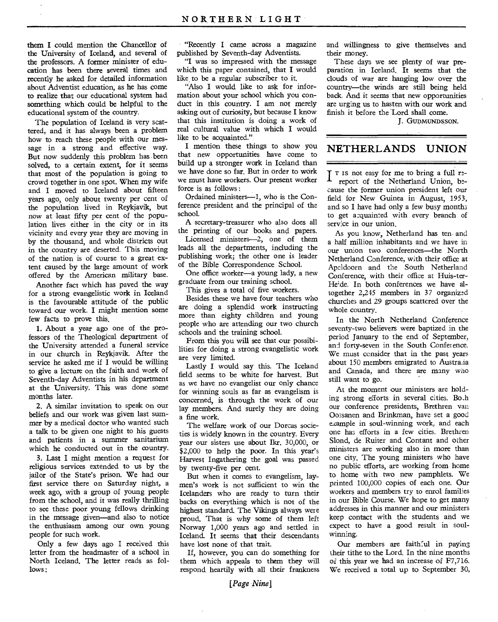them I could mention the Chancellor of the University of Iceland, and several of the professors. A former minister of education has been there several times and recently he asked for detailed information about Adventist education, as he has come to realize that our educational system had something which could be helpful to the educational system of the country.

The population of Iceland is very scattered, and it has always been a problem how to reach these people with our message in a strong and effective way. But now suddenly this problem has been solved, to a certain extent, for it seems that most of the population is going to crowd together in one spot. When my wife and I moved to Iceland about fifteen years ago, only about twenty per cent of the population lived in Reykjavik, but now at least fifty per cent of the population lives either, in the city or in its vicinity and every year they are moving in by the thousand, and whole districts out in the country are deserted. This moving of the nation is of course to a great extent caused by the large amount of work offered by the American military base.

Another fact which has paved the way for a strong evangelistic work in Iceland is the favourable attitude of the public toward our work. I might mention some few facts to prove this.

1. About a year ago one of the professors of the Theological department of the University attended a funeral service in our church in Reykjavik. After the service he asked me if I would be willing to give a lecture on the faith and work of Seventh-day Adventists in his department at the University. This was done some months later.

2. A similar invitation to speak on our beliefs and our work was given last summer by a medical doctor who wanted such a talk to be given one night to his guests and patients in a summer sanitarium which he conducted out in the country.

3. Last I might mention a request for religious services extended to us by the jailor of the State's prison. We had our first service there on Saturday night, a week ago, with a group of young people from the school, and it was really thrilling to see these poor young fellows drinking in the message given—and also to notice the enthusiasm among our own young people for such work.

Only a few days ago I received this letter from the headmaster of a school in North Iceland. The letter reads as follows :

"Recently I came across a magazine published by Seventh-day Adventists.

"I was so impressed with the message which this paper contained, that I would like to be a regular subscriber to it.

"Also I would like to ask for information about your school which you conduct in this country. I am not merely asking out of curiosity, but because I know that this institution is doing a work of real cultural value with which I would like to be acquainted."

I mention these things to show you that new opportunities have come to build up a stronger work in Iceland than we have done so far. But in order to work we must have workers. Our present worker force is as follows :

Ordained ministers-1, who is the Conference president and the principal of the school.

A secretary-treasurer who also does all the printing of our books and papers.

Licensed ministers-2, one of them leads all the departments, including the publishing work; the other one is leader of the Bible Correspondence School.

One office worker—a young lady, a new graduate from our training school.

This gives a total of five workers.

Besides these we have four teachers who are doing a splendid work instructing more than eighty children and young people who are attending our two church schools and the training school.

From this you will see that our possibilities for doing a strong evangelistic work are very limited.

Lastly I would say this. The Iceland field seems to be white for harvest. But as we have no evangelist our only chance for winning souls as far as evangelism is concerned, is through the work of our lay members. And surely they are doing a fine work.

The welfare work of our Dorcas societies is widely known in the country. Every year our sisters use about Ikr. 30,000, or \$2,000 to help the poor. In this year's Harvest Ingathering the goal was passed by twenty-five per cent.

But when it comes to evangelism, laymen's work is not sufficient to win the Icelanders who are ready to turn their backs on everything which is not of the highest standard. The Vikings always were proud. That is why some of them left Norway 1,000 years ago and settled in Iceland. It seems that their descendants have lost none of that trait.

If, however, you can do something for them which appeals to them they will respond heartily with all their frankness

and willingness to give themselves and their money.

These days we see plenty of war preparation in Iceland. It seems that the clouds of war are hanging low over the country—the winds are still being held back. And it seems that new opportunities are urging us to hasten with our work and finish it before the Lord shall come.

J. GUDMUNDS SON.

### **NETHERLANDS UNION**

**T** T IS not easy for me to bring a full Irereport of the Netherland Union, because the former union president left our field for New Guinea in August, 1953, and so I have had only a few busy months to get acquainted with every branch of service in our union.

As you know, Netherland has ten and a half million inhabitants and we have in our union two conferences—the North Netherland Conference, with their office at Apeldoorn and the South Netherland Conference, with their office at Huis-ter-He'de. In both conferences we have altogether 2,245 members in 37 organized churches and 29 groups scattered over the whole country.

In the North Netherland Conference seventy-two believers were baptized in the period January to the end of September, and forty-seven in the South Conference. We must consider that in the past years about 150 members emigrated to Australia and Canada, and there are many who still want to go.

At the moment our ministers are holding strong efforts in several cities. Bo.h our conference presidents, Brethren van Oossanen and Brinkman, have set a good example in soul-winning work, and each one has efforts in a few cities. Brethren Slond, de Ruiter and Contant and other ministers are working also in more than one city. The young ministers who have no public efforts, are working from home to home with two new pamphlets. We printed 100,000 copies of each one. Our workers and members try to enrol families in our Bible Course. We hope to get many addresses in this manner and our ministers keep contact with the students and we expect to have a good result in soulwinning.

Our members are faithful in paying their tithe to the Lord. In the nine months of this year we had an increase of F7,716. We received a total up to September 30,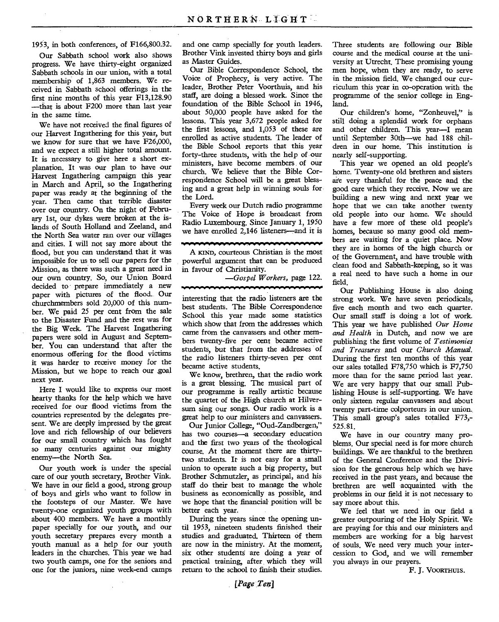1953, in both conferences, of F166,800.32.

Our Sabbath school work also shows progress. We have thirty-eight organized Sabbath schools in our union, with a total membership of 1,863 members. We received in Sabbath school offerings in the first nine months of this year F13,128.90 —that is about F200 more than last year in the *same* time.

We have not received the final figures of our Harvest Ingathering for this year, but we know for sure that we have F26,000, and we expect a still higher total amount. It is necessary to give here a short explanation. It was our plan to have our Harvest Ingathering campaign this year in March and April, so the Ingathering paper was ready at the beginning of the year. Then came that terrible disaster over our country. On the night of February 1st, our dykes were broken at the islands of South Holland and Zeeland, and the North Sea water ran over our villages and cities. I will not say more about the flood, but you can understand that it was impossible for us to sell our papers for the Mission, as there was such a great need in our own country. So, our Union Board decided to prepare immediately a new paper with pictures of the flood. Our churchmembers sold 20,000 of this number. We paid 25 per cent from the sale to the Disaster Fund and the rest was for the Big Week. The Harvest Ingathering papers were sold in August and September. You can understand that after the enormous offering for the flood victims it was harder to receive money for the Mission, but we hope to 'reach our goal next year.

Here I would like to express our most hearty thanks for the help which we have received for our flood victims from the countries represented by the delegates present. We are deeply impressed by the great love and rich fellowship of our believers for our small oountry which has fought so many centuries against our mighty enemy—the North Sea.

Our youth work is under the special care of our youth secretary, Brother Vink. We have in our field a good, strong group of boys and girls who want to follow in the footsteps of our Master. We have twenty-one organized youth groups with about 400 members. We have a monthly paper specially for our youth, and our youth secretary prepares every month a youth manual as a help for our youth leaders in the churches. This year we had two youth camps, one for the seniors and one for the juniors, nine week-end camps

and one camp specially for youth leaders. Brother Vink invested thirty boys and girls as Master Guides.

Our Bible Correspondence School, the Voice of Prophecy, is very active. The leader, Brother Peter Voorthuis, and his staff, are doing a blessed work. Since the foundation of the Bible School in 1946, about 50,000 people have asked for the lessons. This year 3,672 people asked for the first lessons, and 1,053 of these are enrolled as active students. The leader of the Bible School reports that this year forty-three students, with the help of our ministers, have become members of our church. We believe that the Bible Correspondence School will be a great blessing and a great help in winning souls for the Lord.

Every week our Dutch radio programme The Voice of Hope is broadcast from Radio Luxembourg. Since January 1, 1950 we have enrolled 2,146 listeners—and it is

**...~0404,VIROMP"."..."OWYNOWWWWWW**  A KIND, courteous Christian is the most powerful argument that can be produced in favour of Christianity.

> *—Gospel Workers,* page 122. -------------------

interesting that the radio listeners are the best students. The Bible Correspondence School this year made some statistics which show that from the addresses which came from the canvassers and other members twenty-five per cent became active students, but that from the addresses of the radio listeners thirty-seven per cent became active students.

We know, brethren, that the radio work is a great blessing. The musical part of our programme is really artistic because the quartet of the High church at Hilversum sing our songs. Our radio work is a great help to our ministers and canvassers.

Our Junior College, "Oud-Zandbergen," has two courses—a secondary education and the first two years of the theological course. At the moment there are thirtytwo students. It is not easy for a small union to operate such a big property, but Brother Schmutzler, as principal, and his staff do their best to manage the whole business as economically as possible, and we hope that the financial position will be better each year.

During the years since the opening until 1953, nineteen students finished their studies and graduated. Thirteen of them are now in the ministry. At the moment, six other students' are doing a year of practical training, after which they will return to the school to finish their studies.

Three students are following our Bible course and the medical course at the university at Utrecht. These promising young men hope, when they are ready, to serve in the mission field. We changed our curriculum this year in co-operation with the programme of the senior college in England.

Our children's home, "Zonheuvel," is still doing a splendid work for orphans and other children. This year—I mean until September 30th—we had 188 children in our home. This institution is nearly self-supporting.

This year we opened an old people's home. Twenty-one old brethren and sisters are very thankful for the peace and the good care which they receive. Now we are building a new wing and next year we hope that we can take another twenty old people into our home. We should have a few more of these old people's homes, because so many good old members are waiting for a quiet place. Now they are in homes of the high church or of the Government, and have trouble with clean food and Sabbath-keeping, so it was a real need to have such a home in our field.

Our Publishing House is also doing strong work. We have seven periodicals, five each month and two each quarter. Our small staff is doing a lot of work. This year we have published *Our Home and Health* in Dutch, and now we are publishing the first volume of *Testimonies and Treasures* and our *Church Manual.*  During the first ten months of this year our sales totalled F78,750 which is F7,750 more than for the same period last year. We are very happy that our small Publishing House is self-supporting. We have only sixteen regular canvassers and about twenty part-time colporteurs in our union. This small group's sales totalled F73,- 525.81.

We have in our country many problems. Our special need is for more church buildings. We are thankful to the brethren of the General Conference and the Division for the generous help which we have received in the past years, and because the brethren are well acquainted with the problems in our field it is not necessary to say more about this.

We feel that we need in our field a greater outpouring of the Holy Spirit. We are praying for this and our ministers and members are working for a big harvest of souls. We need very much your intercession to God, and we will remember you always in our prayers.

F. J. VOORTHUIS.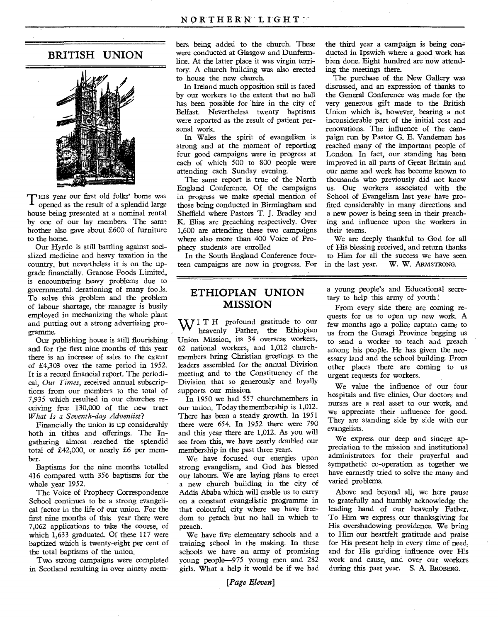### **BRITISH UNION**



T HIS year our first old folks' home was opened as the result of a splendid large house being presented at a nominal rental by one of our lay members. The same brother also gave about £600 of furniture to the home.

Our Hyrdo is still battling against socialized medicine and heavy taxation in the country, but nevertheless it is on the upgrade financially. Granose Foods Limited, is enoountering heavy problems due to governmental derationing of many fools. To solve this problem and the problem of labour shortage, the manager is busily employed in mechanizing the whole plant and putting out a strong advertising programme.

Our publishing house is still flourishing and for the first nine months of this year there is an increase of sales to the extent of £4,303 over the same period in 1952. It is a record financial report. The periodical, *Our Times,* received annual subscriptions from our members to the total of 7,935 which resulted in our churches receiving free 130,000 of the new tract *What Is a Seventh-day Adventist?* 

Financially the union is up considerably both in tithes and offerings. The Ingathering almost . reached the splendid total of £42,000, or nearly £6 per member.

Baptisms for the nine months totalled 416 compared with 356 baptisms for the whole year 1952.

The Voice of Prophecy Correspondence School continues to be a strong evangelical factor in the life of our union. For the first nine months of this year there were 7,062 applications to take the oourse, of which 1,633 graduated. Of these 117 were baptized which is twenty-eight per cent of the total baptisms of the union.

Two strong campaigns were completed in Scotland resulting in over ninety members being added to the church. These were conducted at Glasgow and Dunfermline. At the latter place it was virgin territory. A church building was also erected to house the new church.

In Ireland much opposition still is faced by our workers to the extent that no hall has been possible for 'hire in the city of Belfast. Nevertheless twenty baptisms were reported as the result of patient personal work.

In Wales the spirit of evangelism is strong and at the moment of reporting four good campaigns were in progress at each of which 500 to 800 people were attending each Sunday evening.

The same report is true of the North England Conference. Of the campaigns in progress we make special mention of those being conducted in Birmingham and Sheffield where Pastors T. J. Bradley and K. Elias are preaching respectively. Over 1,600 are attending these two campaigns where also more than 400 Voice of Prophecy students are enrolled

In the South England Conference fourteen campaigns are now in progress. For

### **ETHIOPIAN UNION MISSION**

WITH profound gratitude to our heavenly Father, the Ethiopian Union Mission, its 34 overseas workers, 62 national workers, and 1,012 churchmembers bring Christian greetings to the leaders assembled for the annual Division meeting and to the Constituency of the Division that so generously and loyally supports our mission.

In 1950 we had 557 churchmembers in our union. Today the membership is 1,012. There has been a steady growth. In 1951 there were 654. In 1952 there were 790 and this year there are 1,012. As you will see from this, we have nearly doubled our membership in the past three years.

We have focused our energies upon strong evangelism, and God has blessed our labours. We are laying plans to erect a new church building in the city of Addis Ababa which will enable us to carry on a constant evangelistic programme in that colourful city where we have freedom to preach but no hall in which to preach.

We have five elementary schools and a training school in the making. In these schools we have an army of promising young people-975 young men and 282, girls. What a help it would be if we had

the third year a campaign is being conducted in Ipswich where a good work has been done. Eight hundred are now attending the meetings there.

The purchase of the New Gallery was discussed, and an expression of thanks to the General Conference was made for the very generous gift made to the British Union which is, however, bearing a not inconsiderable part of the initial cost and renovations. The influence of the campaign run by Pastor G. E. Vandeman has reached many of the important people of London. In fact, our standing has been improved in all parts of Great Britain and our name and work has become known to thousands who previously did not know us. Our workers associated with the School of Evangelism last year have profited considerably in many directions and a new power is being seen in their preaching and influence upon the workers in their teams.

We are deeply thankful to God for all of His blessing received, and return thanks to Him for all the success we have seen<br>in the last year. W. W. ARMSTRONG. W. W. ARMSTRONG.

a young people's and Educational secretary to help this army of youth !

From every side there are coming requests for us to open up new work. A few months ago a police captain came to us from the Guragi Province begging us to send a worker to teach and preach among his people. He has given the necessary land and the school building. From other places there are coming to us urgent requests for workers.

We value the influence of our four hospitals and five clinics. Our doctors and nurses are a real asset to our work, and we appreciate their influence for good. They are standing side by side with our evangelists.

We express our deep and sincere appreciation to the mission and institutional administrators for their prayerful and sympathetic co-operation as together we have earnestly tried to solve the many and varied problems.

Above and beyond all, we here pause to gratefully and humbly acknowledge the leading hand of our heavenly Father. To Him we express our thanksgiving for His overshadowing providence. We bring to Him our heartfelt gratitude and praise for His present help in every time of need, and for His guiding influence over His work and cause, and over our workers during this past year. S. A. BROBERG.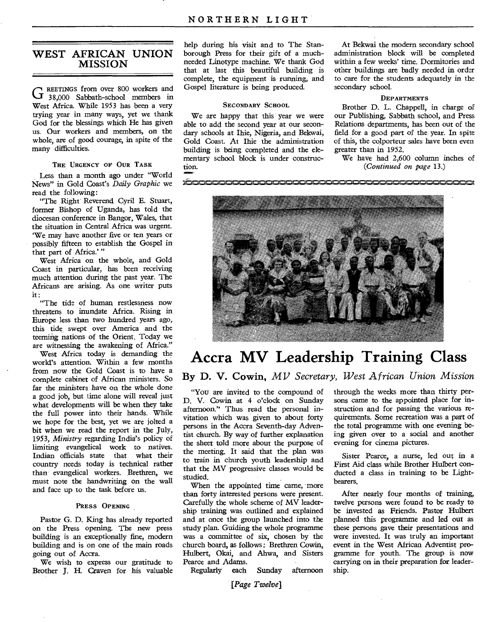### **WEST AFRICAN UNION MISSION**

G REETINGS from over 800 workers and<br>G 38,000 Sabbath-school members in REETINGS from over 800 workers and West Africa. While 1953 has been a very trying year in many ways, yet we thank God for the blessings which He has given us. Our workers and members, on the whole, are of good courage, in spite of the many difficulties.

### **THE URGENCY OF OUR TASK**

Less than a month ago under "World News" in Gold Coast's *Daily Graphic* we read the following:

"The Right Reverend Cyril E. Stuart, former Bishop of Uganda, has told the diocesan conference in Bangor, Wales, that the situation in Central Africa was urgent. `We may have another five or ten years or possibly fifteen to establish the Gospel in that part of Africa.' "

West Africa on the whole, and Gold Coast in particular, has been receiving much attention during the past year. The Africans are arising. As one writer puts it :

"The tide of human restlessness now threatens to inundate Africa. Rising in Europe less than two hundred years ago, this tide, swept over America and the teeming nations of the Orient. Today we are witnessing the awakening of Africa."

West Africa today is demanding the world's attention. Within a few months from now the Gold Coast is to have a complete cabinet of African ministers. So far the ministers have on the whole done a good job, but time alone will reveal just what developments will be when they take the full power into their hands. While we hope for the best, yet we are jolted a bit when we read the report in the July, 1953, *Ministry* regarding India's policy of limiting evangelical work to natives. Indian officials state that what their country needs today is technical rather than evangelical workers. Brethren, we must mote the handwriting on the wall and face up to the task before us.

#### **PRESS OPENING**

Pastor G. D. King has already reported on the Press opening. The new press building is an exceptionally fine, modern building and is on one of the main roads going out of Accra.

We wish to express our gratitude to Brother J. H. Craven for his valuable

help during his visit and to The Stanborough Press for their gift of a muchneeded Linotype machine. We thank God that at last this beautiful building is complete, the equipment is running, and Gospel literature is being produced.

### **SECONDARY SCHOOL**

We are happy that this year we were able to add the second year at our secondary schools at Ihie, Nigeria, and Bekwai, Gold Coast. At Ihie the administration building is being completed and the elementary school block is under construction.

At Bekwai the modern secondary school administration block will be completed within a few weeks' time. Dormitories and other buildings are badly needed in order to care for the students adequately in the secondary school.

### **DEPARTMENTS**

Brother D. L. Chappell, in charge of our Publishing, Sabbath school, and Press Relations departments, has been out of the field for a good part of the. year. In spite of this, the colporteur sales have been even greater than in 1952.

We have had 2,600 column inches of *(Continued on page* 13.)



## **Accra MV Leadership Training Class By D. V. Cowin,** *MV Secretary, West African Union Mission*

"You are invited to the compound of D. V. Cowin at 4 o'clock on Sunday afternoon." Thus read the personal invitation which was given to about forty persons in the Accra Seventh-day Adventist church. By way of further explanation the sheet told more about the purpose of the meeting. It said that the plan was to train in church youth leadership and that the MV progressive classes would be studied.

When the appointed time came, more than forty interested persons were present. Carefully the whole scheme of MV leadership training was outlined and explained and at once the group launched into the study plan. Guiding the whole programme was a committee of six, chosen by the church board, as follows : Brethren Cowin, Hulbert, Okai, and Ahwa, and Sisters Pearce and Adams.<br>Regularly each

Regularly each Sunday afternoon

through the weeks more than thirty persons came to the appointed place for instruction and for passing the various requirements. Some recreation was a part of the total programme with one evening being given over to a social and another evening for cinema pictures.

Sister Pearce, a nurse, led out in a First Aid class while Brother Hulbert conducted a class in training to be Lightbearers.

After nearly four months of training, twelve persons were found to be ready to be invested as Friends. Pastor Hulbert planned this programme and led out as these persons gave their presentations and were invested. It was truly an important event in the West African Adventist programme for youth. The group is now carrying on in their preparation for leadership.

[Page Twelve]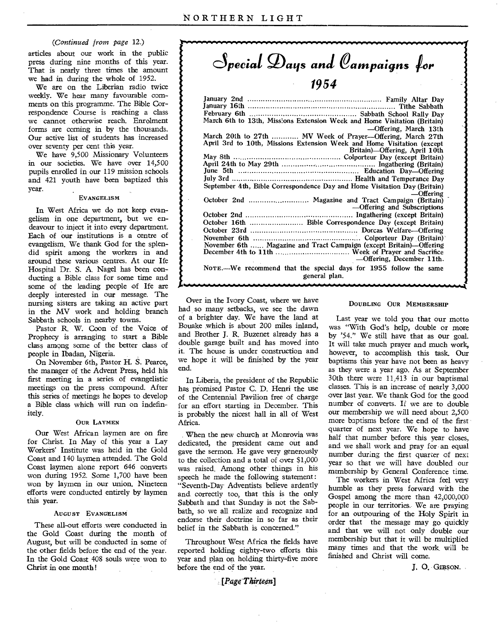### *(Continued from page* 12.)

articles about our work in the public press during nine months of this year. That is nearly three times the amount we had in during the whole of 1952.

We are on the Liberian radio twice weekly. We hear many favourable comments on this programme. The Bible Correspondence Course is reaching a class we cannot otherwise reach. Enrolment forms are coming in by the thousands. Our active list of students has increased over seventy per cent this year.

We have 9,500 Missionary Volunteers in our societies. We have over 14,500 pupils enrolled in our 119 mission schools and 421 youth have been baptized this year.

### EVANGELISM

In West Africa we do not keep evangelism in one department, but we endeavour to inject it into every department. Each of our institutions is a centre of evangelism. We thank God for the splendid spirit among the workers in and around these various centres. At our Ife Hospital Dr. S. A. Nagel has been conducting a Bible class for some time and some of the leading people of Ife are deeply interested in our message. The nursing sisters are taking an active part in the MV work and holding branch Sabbath schools in nearby towns.

Pastor R. W. Coon of the Voice of Prophecy is arranging to start a Bible class among some of the better class of people in Ibadan, Nigeria.

On November 6th, Pastor H. S. Pearce, the manager of the Advent Press, held his first meeting in a series of evangelistic meetings on the press compound. After this series of meetings he hopes to develop a Bible class which will run on indefinitely.

#### OUR LAYMEN

Our West African laymen are on fire for Christ. In May of this year a Lay Workers' Institute was held in the Gold Coast and 140 laymen attended. The Gold Coast laymen alone report 646 converts won during 1952. Some 1,700 have been won by laymen in our union. Nineteen efforts were conducted entirely by laymen this year.

### AUGUST EVANGELISM

These all-out efforts were conducted in the Gold Coast during the month of August, but will be conducted in some of the other fields before the end of the year. In the Gold Coast 408 souls were won to Christ in one month!

**d***pecial g)aqs and Oampa;gns*  **1954** 

| March 6th to 13th, Missions Extension Week and Home Visitation (Britain)                                       |  |
|----------------------------------------------------------------------------------------------------------------|--|
| -Offering, March 13th                                                                                          |  |
| March 20th to 27th  MV Week of Prayer—Offering, March 27th                                                     |  |
| April 3rd to 10th, Missions Extension Week and Home Visitation (except                                         |  |
| Britain)—Offering, April 10th                                                                                  |  |
|                                                                                                                |  |
|                                                                                                                |  |
|                                                                                                                |  |
|                                                                                                                |  |
| September 4th, Bible Correspondence Day and Home Visitation Day (Britain)                                      |  |
| $-$ Offering                                                                                                   |  |
|                                                                                                                |  |
| —Offering and Subscriptions                                                                                    |  |
|                                                                                                                |  |
| October 16th  Bible Correspondence Day (except Britain)                                                        |  |
|                                                                                                                |  |
|                                                                                                                |  |
| November 6th  Magazine and Tract Campaign (except Britain)--Offering                                           |  |
|                                                                                                                |  |
| —Offering, December 11th.                                                                                      |  |
| NOTE.—We recommend that the special days for 1955 follow the same<br>general plan.                             |  |
| in a complete that the second control of the second control of the second control of the second control of the |  |

Over in the Ivory Coast, where we have had so many setbacks, we see the dawn of a brighter day. We have the land at Bouake .which is about 200 miles inland, and Brother J. R. Buzenet already has a double garage built and has moved into it. The house is under construction and we hope it will be finished by the year end.

In Liberia, the president of the Republic has promised Pastor C. D. Henri the use of the Centennial Pavilion free of charge for an effort starting in December. This is probably the nicest hall in all of West Africa.

When the new church at Monrovia was dedicated, the president came out and gave the sermon. He gave very generously to the collection and a total of over \$1,000 was raised. Among other things in his speech he made the following statement : "Seventh-Day Adventists believe ardently and, correctly too, that this is the only Sabbath and that Sunday is not the Sabbath, so we all realize and recognize and endorse their doctrine in so far as their belief in the Sabbath is concerned."

Throughout West Africa the fields have reported holding eighty-two efforts this year and plan on holding thirty-five more before the end of the year.

### $[PageThirteen]$

#### DOUBLING OUR MEMBERSHIP

Last year we told you that our motto was "With God's help, double or more by '54." We still have that as our goal. It will take much prayer and much work, however, to accomplish this task. Our baptisms this year have not been as heavy as they were a year ago. As at September 30th there were 11,413 in our baptismal classes. This is an increase of nearly 3,000 over last year. We thank God for the good number of converts. If we are to double our membership we will need about 2,500 more baptisms before the end of the first quarter of next year. We hope to have half that number before this year closes, and we shall work and pray for an equal number during the first quarter of next year so that we will have doubled our membership by General Conference time.

The workers in West Africa feel very humble as they press forward with the Gospel among the more than 42,000,000 people in our territories. We are praying for an outpouring of the Holy Spirit in order that the message may go quickly and that we will not only double our membership but that it will be multiplied many times and that the work will be finished and Christ will come.

J. 0. GIBSON.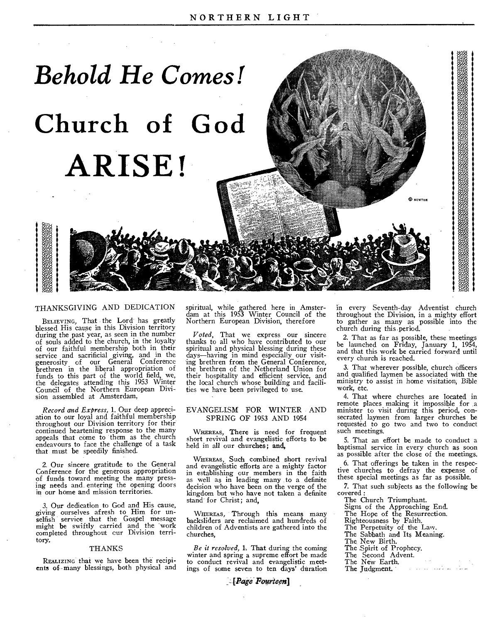

### THANKSGIVING AND DEDICATION

BELIEVING, That the Lord has greatly blessed His cause in this Division territory during the past year, as seen in the number of souls added to the church, in the loyalty of our faithful membership both in their service and sacrificial giving, and in the generosity of our General Conference brethren in the liberal appropriation of funds to this part of the world field, we, the delegates attending this 1953 Winter Council of the Northern European Division assembled at Amsterdam,

*Record and Express,* 1. Our deep appreciation to our loyal and faithful membership throughout our Division territory for their continued heartening response to the many appeals that come to them as the church endeavours to face the challenge of a task that must be speedily finished.

2. Our sincere gratitude to the General Conference for the generous appropriation of funds toward meeting the many pressing needs and entering the opening doors in our home and mission territories.

3. Our dedication to God and His cause, giving ourselves afresh to Him for unselfish service that the Gospel message<br>might be swiftly carried and the work completed throughout cur Division territory,

#### THANKS

REALIZING that we have been the recipients of-many blessings, both physical and

spiritual, while gathered here in Amster-dam at this 1953 Winter Council of the Northern European Division, therefore

*Voted,* That we express our sincere thanks to all who have contributed to our spiritual and physical blessing during these days—having in mind especially our visiting brethren from the General Conference, the brethren of the Netherland Union for their hospitality and efficient service, and the local church whose building and facilities we have been privileged to use.

### EVANGELISM FOR WINTER AND SPRING OF 1953 AND 1954

WHEREAS, There is need for frequent short revival and evangelistic efforts to be held in all our churches; and,

WHEREAS, Such combined short revival and evangelistic efforts are a mighty factor in establishing our members in the faith as well as in leading many to a definite decision who have been on the verge of the kingdom but who have not taken a definite stand for Christ; and,

WHEREAS, Through this means many backsliders are reclaimed and hundreds of children of Adventists are gathered into the churches,

*Be it resolved,* 1. That during the coming winter and spring a supreme effort be made to conduct revival and evangelistic meetings of some seven to ten days' duration

*Fogrieen]* 

in every Seventh-day Adventist church throughout the Division, in a mighty effort to gather as many as possible into the church during this period.

© kewtom

2. That as far as possible, these meetings be launched on Friday, January 1, 1954, and that this work be carried forward until every church is reached.

3. That wherever possible, church officers and qualified laymen be associated with the ministry to assist in home visitation, Bible work, etc.

4. That where churches are located in remote places making it impossible for a minister to visit during this period, consecrated laymen from larger churches be requested to go two and two to conduct such meetings.

5. That an effort be made to conduct a baptismal service in every church as soon as possible after the close of the meetings.

6. That offerings be taken in the respective churches to defray the expense of these special meetings as far as possible.

7. That such subjects as the following be covered:

The Church Triumphant.

Signs of the Approaching End.

The Hope of the Resurrection.

Righteousness by Faith.

- The Perpetuity of the Law.
- The Sabbath and Its Meaning.
- The New Birth.
	-
	- The Spirit of Prophecy. The Second Advent.
	- The New Earth.
	- الطائف والمداورة الماري The Judgment.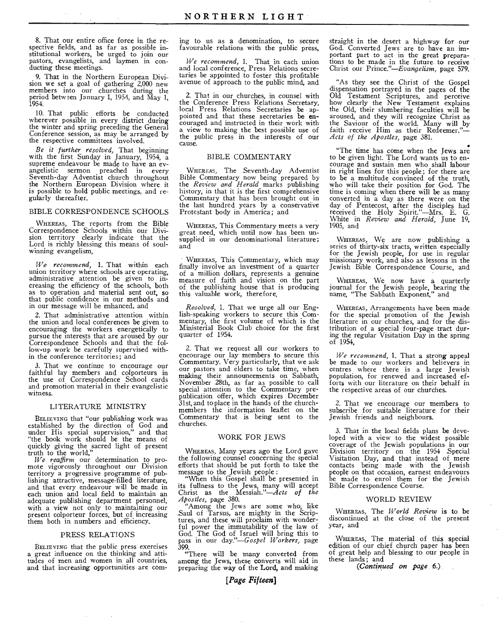8. That our entire office force in the respective fields, and as far as possible institutional workers, be urged to join our pastors, evangelists, and laymen in conducting these meetings.

9. That in the Northern European Division we set a goal of gathering 2,000 new members into our churches during the period between January 1, 1954, and  $\tilde{M}$ ay 1, 1954.

10. That public efforts be conducted wherever possible in every district during the winter and spring preceding the General Conference session, as may be arranged by the respective committees involved.

*Be it further resolved,* That beginning with the first Sunday in January, 1954, a supreme endeavour be made to have an evangelistic sermon preached in every Seventh-day Adventist church throughout the Northern European Division where it is possible to hold public meetings, and regularly thereafter.

### BIBLE CORRESPONDENCE SCHOOLS

WHEREAS, The reports from the Bible Correspondence Schools within our Divi-sion territory clearly indicate that the Lord is richly blessing this means of soulwinning evangelism,

*We recommend,* 1. That within each union territory where schools are operating, administrative attention be given to increasing the efficiency of the schools, both as to operation and material sent out, so that public confidence in our methods and in our message will be enhanced, and

2. That administrative attention within the union and local conferences be given to encouraging the workers energetically to pursue the interests that are aroused by our Correspondence Schools and that the follow-up work be carefully supervised within the conference territories; and

3. That we continue to encourage our faithful lay members and colporteurs in the use of Correspondence School cards and promotion material in their evangelistic witness.

#### LITERATURE MINISTRY

BELIEVING that "our publishing work was established by the direction of God and under His special supervision," and that "the book work should be the means of quickly giving the sacred light of present truth to the world,"

*We reaffirm* our determination to promote vigorously throughout our Division territory a progressive programme of publishing attractive, message-filled literature, and that every endeavour will be made in each union and local field to maintain an adequate publishing department personnel, with a view not only to maintaining our present colporteur forces, but of increasing them both in numbers and efficiency.

#### PRESS RELATIONS

BELIEVING that the public press exercises a great influence on the thinking and attitudes of men and women in all countries, and that increasing opportunities are com-

ing to us as a denomination, to secure favourable relations with the public press,

*We recommend,* 1. That in each union and local conference, Press Relations secretaries be appointed to foster this profitable avenue of approach to the public mind, and

2. That in our churches, in counsel with the Conference Press Relations Secretary, local Press Relations Secretaries be appointed and that these secretaries be encouraged and instructed in their work with a view to making the best possible use of the public press in the interests of our cause.

### BIBLE COMMENTARY

WHEREAS, The Seventh-day Adventist Bible Commentary now being prepared by the *Review and Herald* marks publishing history, in that it is the first comprehensive Commentary that has been brought out in the last hundred years by a conservative Protestant body in America ; and

WHEREAS, This Commentary meets a very great need, which until now has been unsupplied in our denominational literature; and

WHEREAS, This Commentary, which may finally involve an investment of a quarter of a million dollars, represents a genuine measure of faith and vision on the part of the publishing house that is producing this valuable work, therefore,

*Resolved,* 1. That we urge all our English-speaking workers to secure this Commentary, the first volume of which is the Ministerial Book Club choice for the first quarter of 1954.

2. That we request all our workers to encourage our lay members to secure this Commentary. Very particularly, that we ask our pastors and elders to take time, when making their announcements on Sabbath, November 28th, as far as possible to call special attention to the Commentary prepublication offer, which expires December 31st, and toplace in the hands of the churchmembers the information leaflet on the Commentary that is being sent to the churches.

### WORK FOR JEWS

WHEREAS, Many years ago the Lord gave the following counsel concerning the special efforts that should be put forth to take the message to the Jewish people :

"When this Gospel shall be presented in its fullness to the Jews, many will accept Christ as the Messiah."—Acts *of the Apostles,* page 380.

"Among the Jews are some who, like Saul of Tarsus, are mighty in the Scriptures, and these will proclaim with wonderful power the immutability of the law of God. The God of Israel will bring this to pass in our *day."—Gospel Workers,* page 399.

"There will be many converted from among the Jews, these converts will aid in preparing the way of the Lord, and making straight in the desert a highway for our God. Converted Jews are to have an important part to act in the great preparations to be made in the future to receive Christ our *Prince."—Evangelism,* page 579.

"As they see the. Christ of the Gospel dispensation portrayed in the pages of the Old Testament Scriptures, and perceive how clearly the New Testament explains the Old, their slumbering faculties will be aroused, and they will recognize Christ as the Saviour of the world. Many will by faith receive Him as their Redeemer."-*Acts of the Apostles,* page 381.

"The time has come when the Jews are to be given light. The Lord wants us to encourage and sustain men who shall labour in right lines for this people ; for there are to be a multitude convinced of the truth, who will take their position for God. The time is coming when there will be as many converted in a day as there were on the day of Pentecost, after the disciples had received the Holy Spirit."—Mrs. E. G. White in *Review and Herald,* June 19, 1905, and

WHEREAS, We are now publishing a series of thirty-six tracts, written especially for the Jewish people, for use in regular missionary work, and also as lessons in the Jewish Bible Correspondence Course, and

WHEREAS, We now have a quarterly journal for the Jewish people, bearing the name, "The Sabbath Exponent," and

WHEREAS, Arrangements have been made for the special promotion of the Jewish literature in our churches, and for the distribution of a special four-page tract during the regular Visitation Day in the spring of 1954,

*We recommend,* 1. That a strong appeal be made to our workers and believers in centres where there is a large Jewish population, for renewed and increased efforts with our literature on their behalf in the respective areas of our churches.

2. That we encourage our members to subscribe for suitable literature for their Jewish friends and neighbours.

3. That in the local fields plans be developed with a view to the widest possible coverage of the Jewish populations in our Division territory on the 1954 Special Visitation Day, and that instead of mere contacts being made with the Jewish people on that occasion, earnest endeavours be made to enrol them for the Jewish Bible Correspondence Course.

#### WORLD REVIEW

WHEREAS, The *World Review is to* be discontinued at the close of the present year, and

WHEREAS, The material of this special edition of our chief church paper has been of great help and blessing to our people in these lands; and

*(Continued on page* 6.)